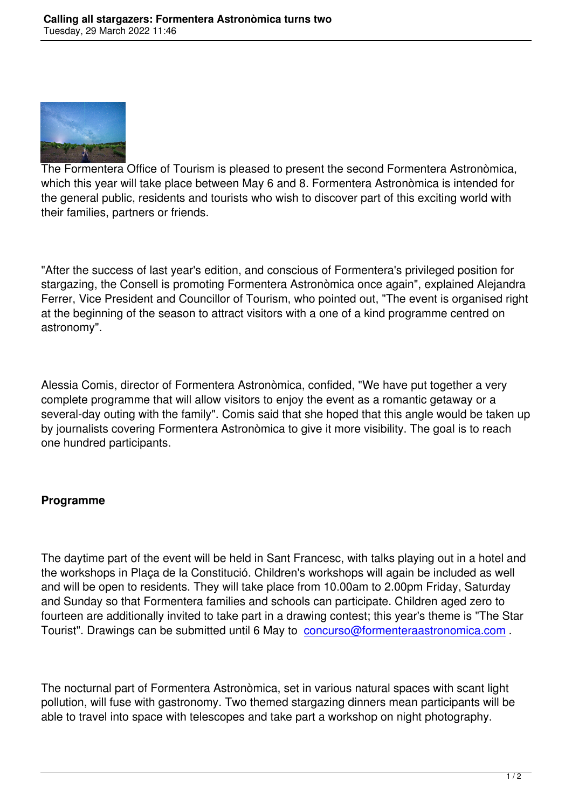

The Formentera Office of Tourism is pleased to present the second Formentera Astronòmica, which this year will take place between May 6 and 8. Formentera Astronòmica is intended for the general public, residents and tourists who wish to discover part of this exciting world with their families, partners or friends.

"After the success of last year's edition, and conscious of Formentera's privileged position for stargazing, the Consell is promoting Formentera Astronòmica once again", explained Alejandra Ferrer, Vice President and Councillor of Tourism, who pointed out, "The event is organised right at the beginning of the season to attract visitors with a one of a kind programme centred on astronomy".

Alessia Comis, director of Formentera Astronòmica, confided, "We have put together a very complete programme that will allow visitors to enjoy the event as a romantic getaway or a several-day outing with the family". Comis said that she hoped that this angle would be taken up by journalists covering Formentera Astronòmica to give it more visibility. The goal is to reach one hundred participants.

## **Programme**

The daytime part of the event will be held in Sant Francesc, with talks playing out in a hotel and the workshops in Plaça de la Constitució. Children's workshops will again be included as well and will be open to residents. They will take place from 10.00am to 2.00pm Friday, Saturday and Sunday so that Formentera families and schools can participate. Children aged zero to fourteen are additionally invited to take part in a drawing contest; this year's theme is "The Star Tourist". Drawings can be submitted until 6 May to concurso@formenteraastronomica.com.

The nocturnal part of Formentera Astronòmica, set [in various natural spaces with scant light](mailto:concurso@formenteraastronomica.com) pollution, will fuse with gastronomy. Two themed stargazing dinners mean participants will be able to travel into space with telescopes and take part a workshop on night photography.